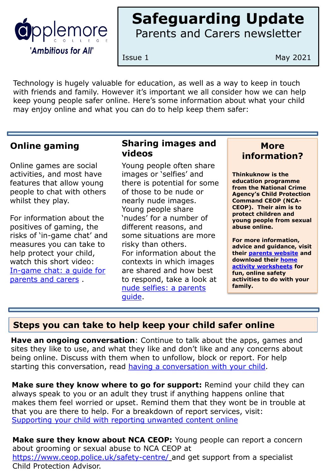

# **Safeguarding Update** Parents and Carers newsletter

Issue 1 May 2021

Technology is hugely valuable for education, as well as a way to keep in touch with friends and family. However it's important we all consider how we can help keep young people safer online. Here's some information about what your child may enjoy online and what you can do to help keep them safer:

## **Online gaming**

Online games are social activities, and most have features that allow young people to chat with others whilst they play.

For information about the positives of gaming, the risks of 'in-game chat' and measures you can take to help protect your child, watch this short video: [In-game chat: a guide for](https://www.youtube.com/watch?v=_5-ij1jm9K8&feature=emb_title)  parents and carers .

## **Sharing images and videos**

Young people often share images or 'selfies' and there is potential for some of those to be nude or nearly nude images. Young people share 'nudes' for a number of different reasons, and some situations are more risky than others. For information about the contexts in which images are shared and how best to respond, take a look at [nude selfies: a parents](https://www.thinkuknow.co.uk/parents/articles/Nude-selfies-a-parents-guide/)  guide.

#### **More information?**

**Thinkuknow is the education programme from the National Crime Agency's Child Protection Command CEOP (NCA-CEOP). Their aim is to protect children and young people from sexual abuse online.** 

**For more information, advice and guidance, visit their [parents website](http://www.thinkuknow.co.uk/parents) and [download their home](https://www.thinkuknow.co.uk/parents/Support-tools/home-activity-worksheets/)  activity worksheets for fun, online safety activities to do with your family.** 

## **Steps you can take to help keep your child safer online**

**Have an ongoing conversation**: Continue to talk about the apps, games and sites they like to use, and what they like and don't like and any concerns about being online. Discuss with them when to unfollow, block or report. For help starting this conversation, read [having a conversation with your child](https://www.thinkuknow.co.uk/parents/articles/having-a-conversation-with-your-child/).

**Make sure they know where to go for support:** Remind your child they can always speak to you or an adult they trust if anything happens online that makes them feel worried or upset. Remind them that they wont be in trouble at that you are there to help. For a breakdown of report services, visit: [Supporting your child with reporting unwanted content online](https://parentinfo.org/article/supporting-your-child-with-reporting-unwanted-content-online)

**Make sure they know about NCA CEOP:** Young people can report a concern about grooming or sexual abuse to NCA CEOP at <https://www.ceop.police.uk/safety-centre/> and get support from a specialist Child Protection Advisor.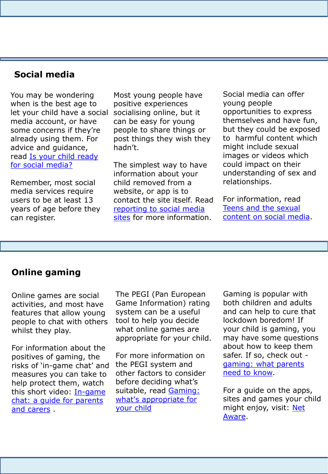## **Social media**

You may be wondering when is the best age to let your child have a social media account, or have some concerns if they're already using them. For advice and guidance, read [Is your child ready](https://www.thinkuknow.co.uk/parents/articles/is-my-child-ready-for-social-media/)  [for social media?](https://www.thinkuknow.co.uk/parents/articles/is-my-child-ready-for-social-media/)

Remember, most social media services require users to be at least 13 years of age before they can register.

Most young people have positive experiences socialising online, but it can be easy for young people to share things or post things they wish they hadn't.

The simplest way to have information about your child removed from a website, or app is to contact the site itself. Read [reporting to social media](https://www.thinkuknow.co.uk/parents/articles/Reporting-to-social-media-sites-/) sites for more information.

Social media can offer young people opportunities to express themselves and have fun, but they could be exposed to harmful content which might include sexual images or videos which could impact on their understanding of sex and relationships.

For information, read Teens and the sexual [content on social media](https://www.thinkuknow.co.uk/parents/articles/teens-and-the-sexual-content-on-social-media/).

#### **Online gaming**

Online games are social activities, and most have features that allow young people to chat with others whilst they play.

For information about the positives of gaming, the risks of 'in-game chat' and measures you can take to help protect them, watch this short video: In-game [chat: a guide for parents](https://www.youtube.com/watch?v=_5-ij1jm9K8&feature=emb_title)  and carers .

The PEGI (Pan European Game Information) rating system can be a useful tool to help you decide what online games are appropriate for your child.

For more information on the PEGI system and other factors to consider before deciding what's suitable, read Gaming: [what's appropriate for](https://www.thinkuknow.co.uk/parents/articles/gaming-whats-appropriate-for-your-child/)  your child

Gaming is popular with both children and adults and can help to cure that lockdown boredom! If your child is gaming, you may have some questions about how to keep them safer. If so, check out [gaming: what parents](https://www.thinkuknow.co.uk/parents/articles/gaming/) need to know.

For a guide on the apps, sites and games your child [might enjoy, visit: Net](https://www.net-aware.org.uk/) Aware.